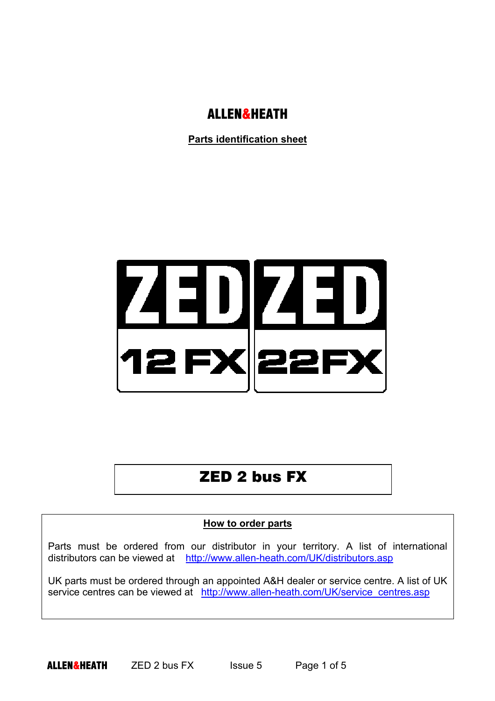## ALLEN&HEATH

**Parts identification sheet** 



## ZED 2 bus FX

## **How to order parts**

Parts must be ordered from our distributor in your territory. A list of international distributors can be viewed at http://www.allen-heath.com/UK/distributors.asp

UK parts must be ordered through an appointed A&H dealer or service centre. A list of UK service centres can be viewed at http://www.allen-heath.com/UK/service\_centres.asp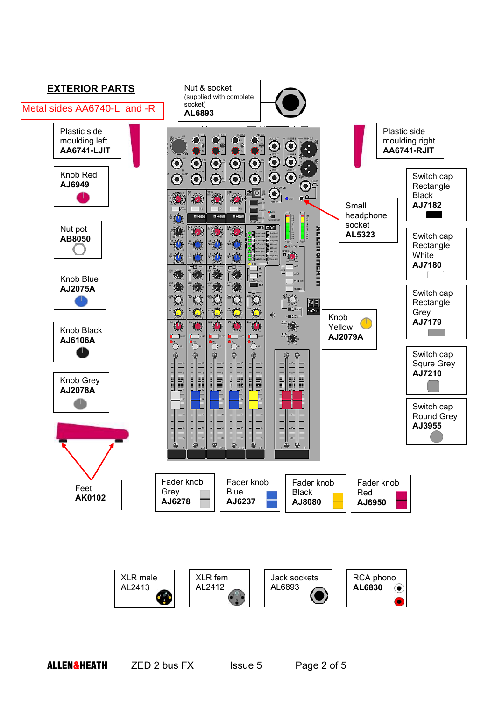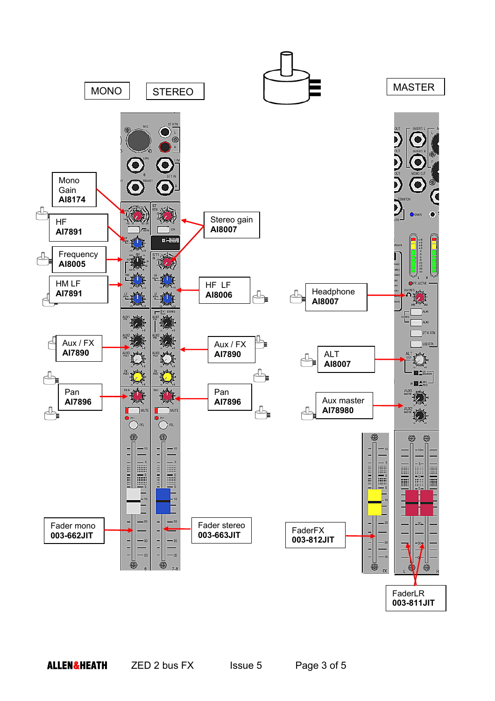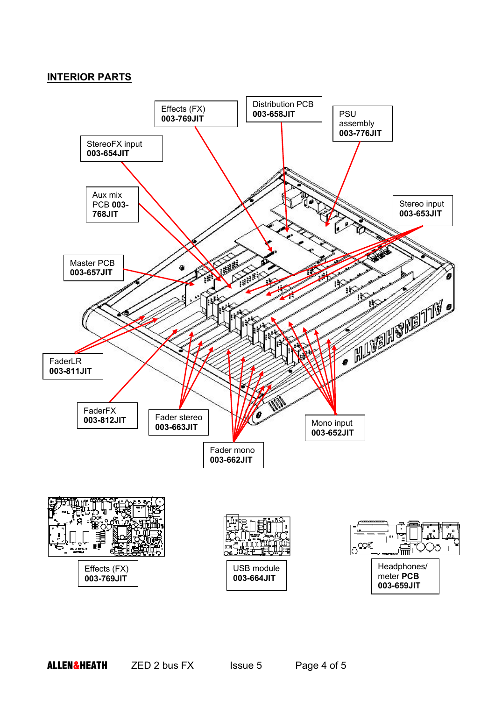## **INTERIOR PARTS**